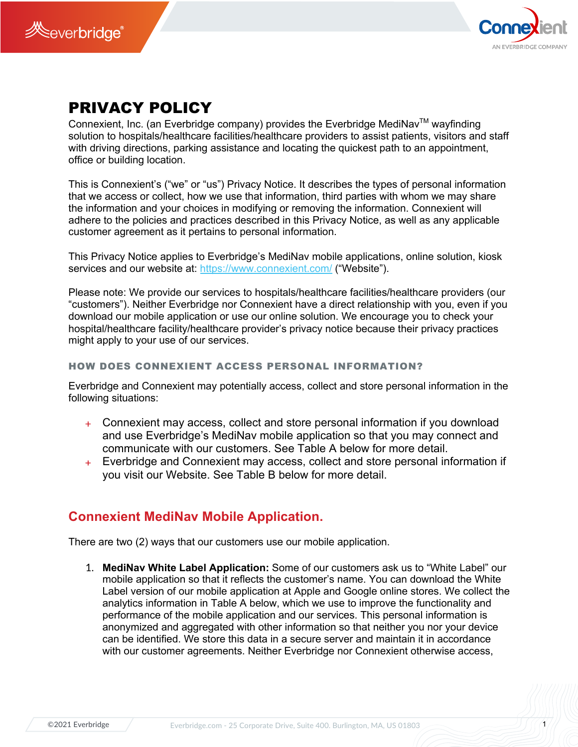



# PRIVACY POLICY

Connexient, Inc. (an Everbridge company) provides the Everbridge MediNav<sup>TM</sup> wayfinding solution to hospitals/healthcare facilities/healthcare providers to assist patients, visitors and staff with driving directions, parking assistance and locating the quickest path to an appointment, office or building location.

This is Connexient's ("we" or "us") Privacy Notice. It describes the types of personal information that we access or collect, how we use that information, third parties with whom we may share the information and your choices in modifying or removing the information. Connexient will adhere to the policies and practices described in this Privacy Notice, as well as any applicable customer agreement as it pertains to personal information.

This Privacy Notice applies to Everbridge's MediNav mobile applications, online solution, kiosk services and our website at: https://www.connexient.com/ ("Website").

Please note: We provide our services to hospitals/healthcare facilities/healthcare providers (our "customers"). Neither Everbridge nor Connexient have a direct relationship with you, even if you download our mobile application or use our online solution. We encourage you to check your hospital/healthcare facility/healthcare provider's privacy notice because their privacy practices might apply to your use of our services.

## HOW DOES CONNEXIENT ACCESS PERSONAL INFORMATION?

Everbridge and Connexient may potentially access, collect and store personal information in the following situations:

- + Connexient may access, collect and store personal information if you download and use Everbridge's MediNav mobile application so that you may connect and communicate with our customers. See Table A below for more detail.
- + Everbridge and Connexient may access, collect and store personal information if you visit our Website. See Table B below for more detail.

## **Connexient MediNav Mobile Application.**

There are two (2) ways that our customers use our mobile application.

1. **MediNav White Label Application:** Some of our customers ask us to "White Label" our mobile application so that it reflects the customer's name. You can download the White Label version of our mobile application at Apple and Google online stores. We collect the analytics information in Table A below, which we use to improve the functionality and performance of the mobile application and our services. This personal information is anonymized and aggregated with other information so that neither you nor your device can be identified. We store this data in a secure server and maintain it in accordance with our customer agreements. Neither Everbridge nor Connexient otherwise access,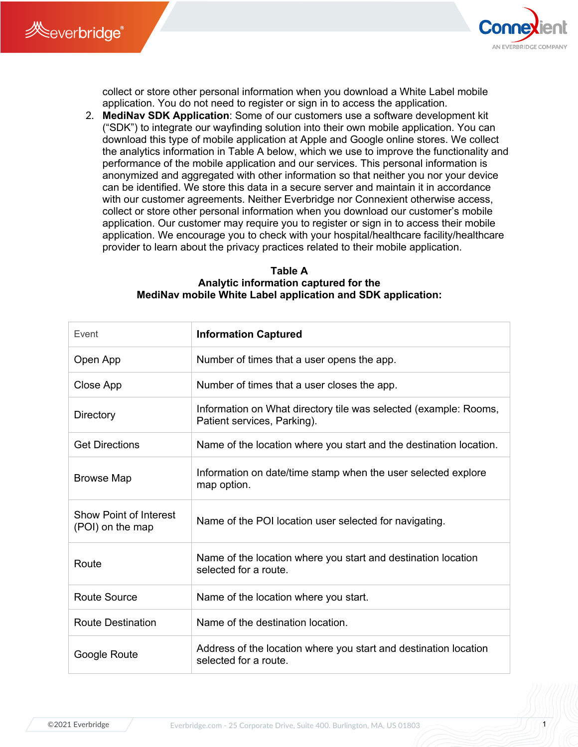



collect or store other personal information when you download a White Label mobile application. You do not need to register or sign in to access the application.

2. **MediNav SDK Application**: Some of our customers use a software development kit ("SDK") to integrate our wayfinding solution into their own mobile application. You can download this type of mobile application at Apple and Google online stores. We collect the analytics information in Table A below, which we use to improve the functionality and performance of the mobile application and our services. This personal information is anonymized and aggregated with other information so that neither you nor your device can be identified. We store this data in a secure server and maintain it in accordance with our customer agreements. Neither Everbridge nor Connexient otherwise access, collect or store other personal information when you download our customer's mobile application. Our customer may require you to register or sign in to access their mobile application. We encourage you to check with your hospital/healthcare facility/healthcare provider to learn about the privacy practices related to their mobile application.

## **Table A Analytic information captured for the MediNav mobile White Label application and SDK application:**

| Event                                             | <b>Information Captured</b>                                                                     |
|---------------------------------------------------|-------------------------------------------------------------------------------------------------|
| Open App                                          | Number of times that a user opens the app.                                                      |
| Close App                                         | Number of times that a user closes the app.                                                     |
| Directory                                         | Information on What directory tile was selected (example: Rooms,<br>Patient services, Parking). |
| <b>Get Directions</b>                             | Name of the location where you start and the destination location.                              |
| <b>Browse Map</b>                                 | Information on date/time stamp when the user selected explore<br>map option.                    |
| <b>Show Point of Interest</b><br>(POI) on the map | Name of the POI location user selected for navigating.                                          |
| Route                                             | Name of the location where you start and destination location<br>selected for a route.          |
| <b>Route Source</b>                               | Name of the location where you start.                                                           |
| <b>Route Destination</b>                          | Name of the destination location.                                                               |
| Google Route                                      | Address of the location where you start and destination location<br>selected for a route.       |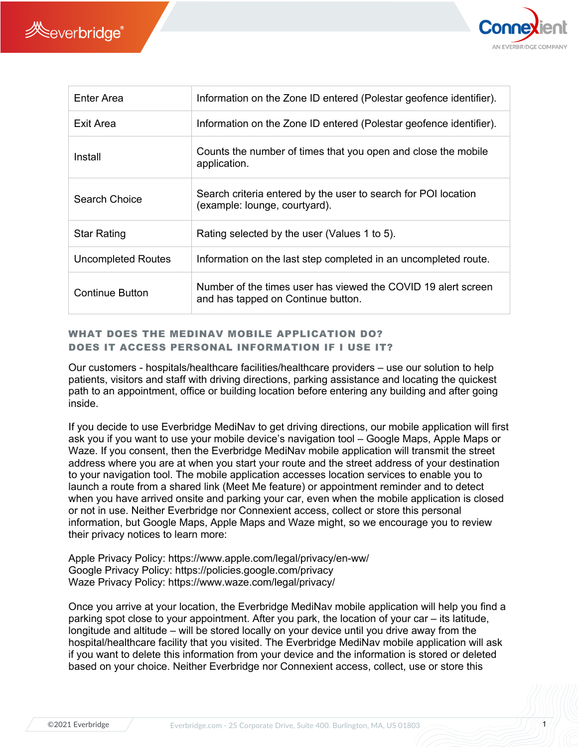



| Enter Area             | Information on the Zone ID entered (Polestar geofence identifier).                                  |
|------------------------|-----------------------------------------------------------------------------------------------------|
| Exit Area              | Information on the Zone ID entered (Polestar geofence identifier).                                  |
| Install                | Counts the number of times that you open and close the mobile<br>application.                       |
| Search Choice          | Search criteria entered by the user to search for POI location<br>(example: lounge, courtyard).     |
| <b>Star Rating</b>     | Rating selected by the user (Values 1 to 5).                                                        |
| Uncompleted Routes     | Information on the last step completed in an uncompleted route.                                     |
| <b>Continue Button</b> | Number of the times user has viewed the COVID 19 alert screen<br>and has tapped on Continue button. |

## WHAT DOES THE MEDINAV MOBILE APPLICATION DO? DOES IT ACCESS PERSONAL INFORMATION IF I USE IT?

Our customers - hospitals/healthcare facilities/healthcare providers – use our solution to help patients, visitors and staff with driving directions, parking assistance and locating the quickest path to an appointment, office or building location before entering any building and after going inside.

If you decide to use Everbridge MediNav to get driving directions, our mobile application will first ask you if you want to use your mobile device's navigation tool – Google Maps, Apple Maps or Waze. If you consent, then the Everbridge MediNav mobile application will transmit the street address where you are at when you start your route and the street address of your destination to your navigation tool. The mobile application accesses location services to enable you to launch a route from a shared link (Meet Me feature) or appointment reminder and to detect when you have arrived onsite and parking your car, even when the mobile application is closed or not in use. Neither Everbridge nor Connexient access, collect or store this personal information, but Google Maps, Apple Maps and Waze might, so we encourage you to review their privacy notices to learn more:

Apple Privacy Policy: https://www.apple.com/legal/privacy/en-ww/ Google Privacy Policy: https://policies.google.com/privacy Waze Privacy Policy: https://www.waze.com/legal/privacy/

Once you arrive at your location, the Everbridge MediNav mobile application will help you find a parking spot close to your appointment. After you park, the location of your car – its latitude, longitude and altitude – will be stored locally on your device until you drive away from the hospital/healthcare facility that you visited. The Everbridge MediNav mobile application will ask if you want to delete this information from your device and the information is stored or deleted based on your choice. Neither Everbridge nor Connexient access, collect, use or store this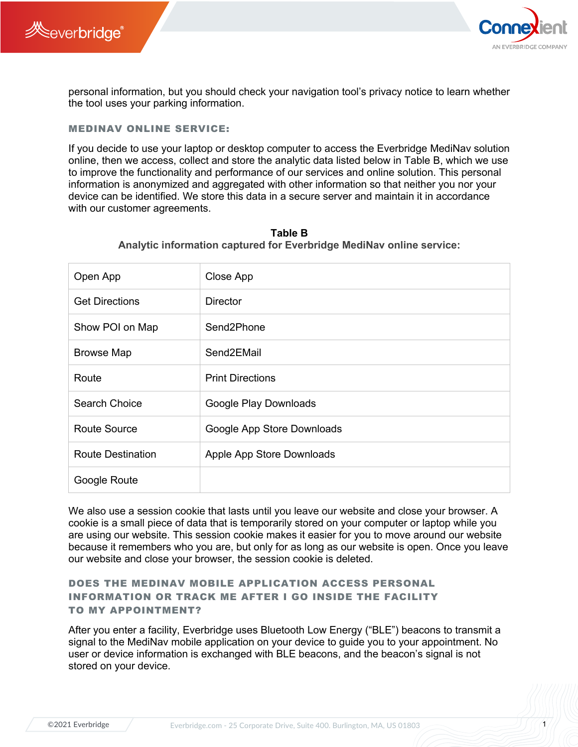



personal information, but you should check your navigation tool's privacy notice to learn whether the tool uses your parking information.

## MEDINAV ONLINE SERVICE:

If you decide to use your laptop or desktop computer to access the Everbridge MediNav solution online, then we access, collect and store the analytic data listed below in Table B, which we use to improve the functionality and performance of our services and online solution. This personal information is anonymized and aggregated with other information so that neither you nor your device can be identified. We store this data in a secure server and maintain it in accordance with our customer agreements.

| Open App                 | Close App                  |
|--------------------------|----------------------------|
| <b>Get Directions</b>    | Director                   |
| Show POI on Map          | Send2Phone                 |
| <b>Browse Map</b>        | Send2EMail                 |
| Route                    | <b>Print Directions</b>    |
| Search Choice            | Google Play Downloads      |
| Route Source             | Google App Store Downloads |
| <b>Route Destination</b> | Apple App Store Downloads  |
| Google Route             |                            |

**Table B Analytic information captured for Everbridge MediNav online service:**

We also use a session cookie that lasts until you leave our website and close your browser. A cookie is a small piece of data that is temporarily stored on your computer or laptop while you are using our website. This session cookie makes it easier for you to move around our website because it remembers who you are, but only for as long as our website is open. Once you leave our website and close your browser, the session cookie is deleted.

## DOES THE MEDINAV MOBILE APPLICATION ACCESS PERSONAL INFORMATION OR TRACK ME AFTER I GO INSIDE THE FACILITY TO MY APPOINTMENT?

After you enter a facility, Everbridge uses Bluetooth Low Energy ("BLE") beacons to transmit a signal to the MediNav mobile application on your device to guide you to your appointment. No user or device information is exchanged with BLE beacons, and the beacon's signal is not stored on your device.